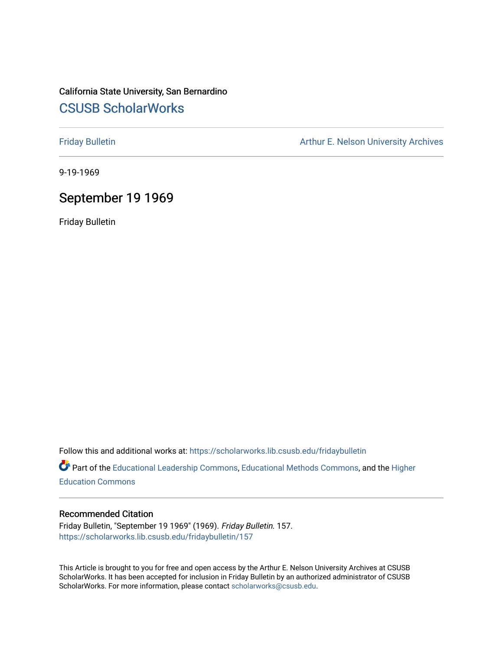# California State University, San Bernardino [CSUSB ScholarWorks](https://scholarworks.lib.csusb.edu/)

[Friday Bulletin](https://scholarworks.lib.csusb.edu/fridaybulletin) **Arthur E. Nelson University Archives** Arthur E. Nelson University Archives

9-19-1969

## September 19 1969

Friday Bulletin

Follow this and additional works at: [https://scholarworks.lib.csusb.edu/fridaybulletin](https://scholarworks.lib.csusb.edu/fridaybulletin?utm_source=scholarworks.lib.csusb.edu%2Ffridaybulletin%2F157&utm_medium=PDF&utm_campaign=PDFCoverPages)

Part of the [Educational Leadership Commons,](http://network.bepress.com/hgg/discipline/1230?utm_source=scholarworks.lib.csusb.edu%2Ffridaybulletin%2F157&utm_medium=PDF&utm_campaign=PDFCoverPages) [Educational Methods Commons,](http://network.bepress.com/hgg/discipline/1227?utm_source=scholarworks.lib.csusb.edu%2Ffridaybulletin%2F157&utm_medium=PDF&utm_campaign=PDFCoverPages) and the [Higher](http://network.bepress.com/hgg/discipline/1245?utm_source=scholarworks.lib.csusb.edu%2Ffridaybulletin%2F157&utm_medium=PDF&utm_campaign=PDFCoverPages) [Education Commons](http://network.bepress.com/hgg/discipline/1245?utm_source=scholarworks.lib.csusb.edu%2Ffridaybulletin%2F157&utm_medium=PDF&utm_campaign=PDFCoverPages) 

### Recommended Citation

Friday Bulletin, "September 19 1969" (1969). Friday Bulletin. 157. [https://scholarworks.lib.csusb.edu/fridaybulletin/157](https://scholarworks.lib.csusb.edu/fridaybulletin/157?utm_source=scholarworks.lib.csusb.edu%2Ffridaybulletin%2F157&utm_medium=PDF&utm_campaign=PDFCoverPages)

This Article is brought to you for free and open access by the Arthur E. Nelson University Archives at CSUSB ScholarWorks. It has been accepted for inclusion in Friday Bulletin by an authorized administrator of CSUSB ScholarWorks. For more information, please contact [scholarworks@csusb.edu.](mailto:scholarworks@csusb.edu)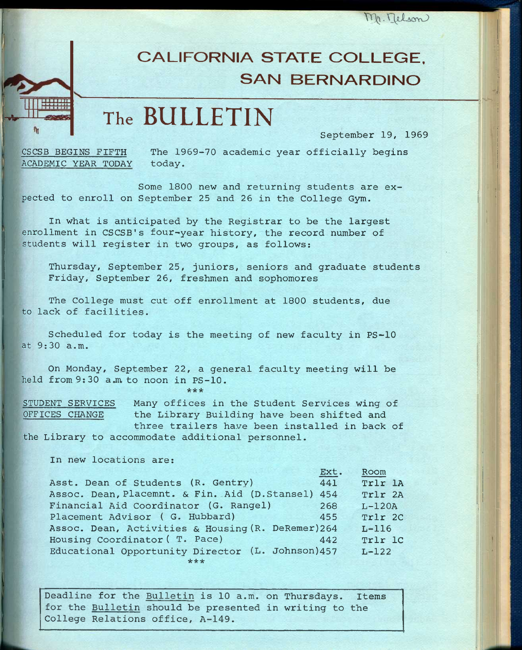$m$ . Telson

# **CALIFORNIA STATE COLLEGE, SAN BERNARDINO**

**The BULLETIN** 

September 19, 1969

'

CSCSB BEGINS FIFTH The 1969-70 academic year officially begins ACADEMIC YEAR TODAY today.

Some 1800 new and returning students are expected to enroll on September 25 and 26 in the College Gym.

In what is anticipated by the Registrar to be the largest enrollment in CSCSB's four-year history, the record number of students will register in two groups, as follows:

Thursday, September 25, juniors, seniors and graduate students Friday, September 26, freshmen and sophomores

The College must cut off enrollment at 1800 students, due to lack of facilities.

Scheduled for today is the meeting of new faculty in PS-10 at 9:30 a.m.

On Monday, September 22, a general faculty meeting will be held from 9:30 a.m to noon in PS-10. **\*\* \*** 

STUDENT SERVICES Many offices in the Student Services wing of OFFICES CHANGE the Library Building have been shifted and three trailers have been installed in back of the Library to accommodate additional personnel.

In new locations are:

 $\frac{1}{\sqrt{2}}$ 

|                                                    | Ext. | Room     |
|----------------------------------------------------|------|----------|
| Asst. Dean of Students (R. Gentry)                 | 441  | Trlr 1A  |
| Assoc. Dean, Placemnt. & Fin. Aid (D.Stansel)      | 454  | Trlr 2A  |
| Financial Aid Coordinator (G. Rangel)              | 268  | $L-120A$ |
| Placement Advisor (G. Hubbard)                     | 455  | Trlr 2C  |
| Assoc. Dean, Activities & Housing (R. DeRemer) 264 |      | $L-116$  |
| Housing Coordinator (T. Pace)                      | 442  | Trlr 1C  |
| Educational Opportunity Director (L. Johnson) 457  |      | $L-122$  |
|                                                    |      |          |

Deadline for the Bulletin is 10 a.m. on Thursdays. Items for the Bulletin should be presented in writing to the College Relations office, A-149.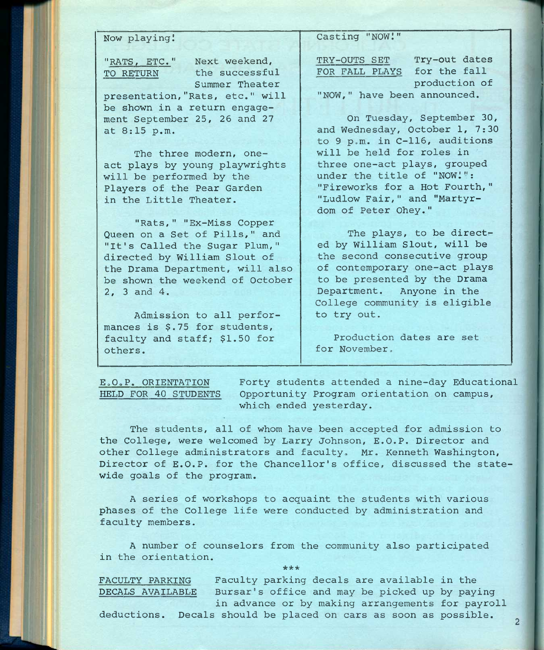Now playing!

"RATS, ETC." Next weekend, TO RETURN the successful Summer Theater

presentation,"Rats, etc." will be shown in a return engagement September 25, 26 and 27 at 8:15 p.m.

The three modern, oneact plays by young playwrights will be performed by the Players of the Pear Garden in the Little Theater.

"Rats, " "Ex-Miss Copper Queen on a Set of Pills," and "It's Called the Sugar Plum," directed by William Slout of the Drama Department, will also be shown the weekend of October 2, 3 and 4.

Admission to all performances is \$.75 for students, faculty and staff; \$1.50 for others.

Casting "NOW!"

TRY-GUTS SET Try-out dates FOR FALL PLAYS for the fall production of "NGW," have been announced.

Gn Tuesday, September 30, and Wednesday, October 1, 7:30 to 9 p.m. in C-116, auditions will be held for roles in three one-act plays, grouped under the title of "NGW!": "Fireworks for a Hot Fourth," "Ludlow Fair," and "Martyrdom of Peter Ghey."

The plays, to be directed by William Slout, will be the second consecutive group of contemporary one-act plays to be presented by the Drama Department. Anyone in the College community is eligible to try out.

Production dates are set for November.

EoOoP. ORIENTATION Forty students attended a nine-day Educational HELD FOR 40 STUDENTS Opportunity Program orientation on campus, which ended yesterday.

The students, all of whom have been accepted for admission to the College, were welcomed by Larry Johnson, E.G.P. Director and other College administrators and faculty. Mr. Kenneth Washington, Director of E.G.P. for the Chancellor's office, discussed the statewide goals of the program.

A series of workshops to acquaint the students with various phases of the College life were conducted by administration and faculty members.

A number of counselors from the community also participated in the orientation. **\*\*\*** 

FACULTY PARKING Faculty parking decals are available in the DECALS AVAILABLE Bursar's office and may be picked up by paying in advance or by making arrangements for payroll

deductions. Decals should be placed on cars as soon as possible.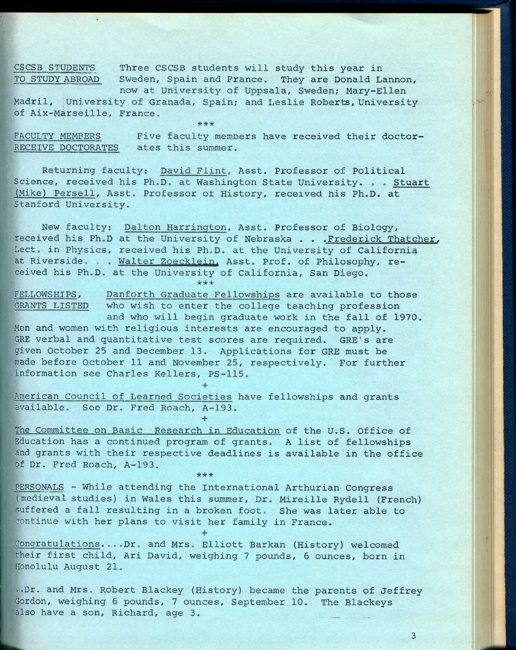CSCSB STUDENTS Three CSCSB students will study this year in TO STUDY ABROAD Sweden, Spain and France. They are Donald Lannon, now at University of Uppsala, Sweden; Mary-Ellen

Madril, University of Granada, Spain; and Leslie Roberts, University of Aix-Marseille, France.  $***$ 

FACULTY MEMBERS Five faculty members have received their doctor-RECEIVE DOCTORATES ates this summer.

Returning faculty; David Flint, Asst. Professor of Political Science, received his Ph.D. at Washington State University. . . Stuart (Mike) Persell, Asst. Professor of History, received his Ph.D. at Stanford University,

New faculty: Dalton Harrington, Asst. Professor of Biology, received his Ph.D at the University of Nebraska . . .Frederick Thatcher. Lect. in Physics, received his Ph.D, at the University of California at Riverside. . . Walter Zoecklein. Asst. Prof. of Philosophy, received his Ph.D. at the University of California, San Diego.

FELLOWSHIPS, Danforth Graduate Fellowships are available to those GRANTS LISTED who wish to enter the college teaching profession and who will begin graduate work in the fall of 1970.

Men and women with religious interests are encouraged to apply. GRE verbal and quantitative test scores are required. GRE's are given October 25 and December 13, Applications for GRE must be made before October 11 and November 25, respectively. For further information see Charles Kellers, PS-115.

American Council of Learned Societies have fellowships and grants available. See Dr. Fred Roach, A-193. **+** 

*•kieie* 

**+** 

The Committee on Basic Research in Education of the U.S. Office of Education has a continued program of grants. A list of fellowships and grants with their respective deadlines is available in the office of Dr. Fred Roach, A-193.

PERSONALS - While attending the International Arthurian Congress (medieval studies) in Wales this summer. Dr. Mireille Rydell (French) suffered a fall resulting in a broken foot. She was later able to continue with her plans to visit her family in France.

Congratulations....Dr. and Mrs. Elliott Barkan (History) welcomed their first child, Ari David, weighing 7 pounds, 6 ounces, born in Honolulu August 21.

**+** 

..Dr. and Mrs. Robert Blackey (History) became the parents of Jeffrey Gordon, weighing 6 pounds, 7 ounces, September 10. The Blackeys also have a son, Richard, age 3.